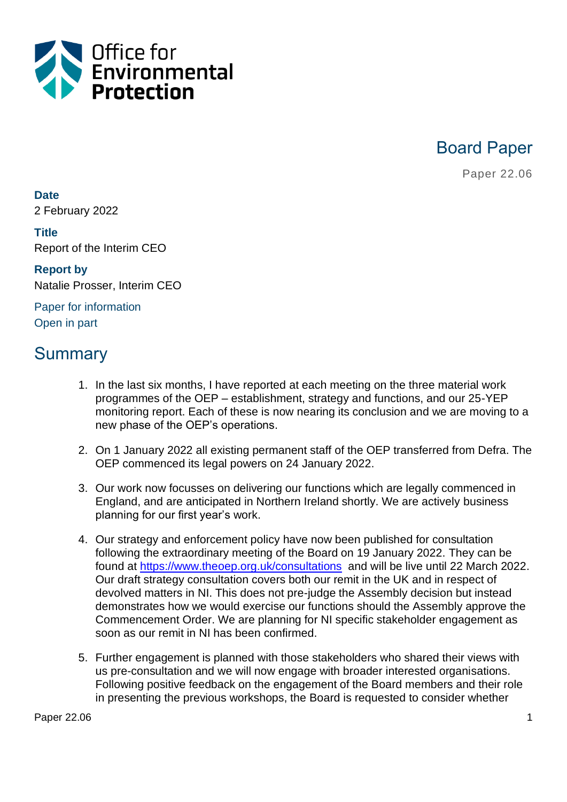

Board Paper

Paper 22.06

**Date** 2 February 2022

**Title** Report of the Interim CEO

**Report by** Natalie Prosser, Interim CEO

Paper for information Open in part

# Summary

- 1. In the last six months, I have reported at each meeting on the three material work programmes of the OEP – establishment, strategy and functions, and our 25-YEP monitoring report. Each of these is now nearing its conclusion and we are moving to a new phase of the OEP's operations.
- 2. On 1 January 2022 all existing permanent staff of the OEP transferred from Defra. The OEP commenced its legal powers on 24 January 2022.
- 3. Our work now focusses on delivering our functions which are legally commenced in England, and are anticipated in Northern Ireland shortly. We are actively business planning for our first year's work.
- 4. Our strategy and enforcement policy have now been published for consultation following the extraordinary meeting of the Board on 19 January 2022. They can be found at<https://www.theoep.org.uk/consultations> and will be live until 22 March 2022. Our draft strategy consultation covers both our remit in the UK and in respect of devolved matters in NI. This does not pre-judge the Assembly decision but instead demonstrates how we would exercise our functions should the Assembly approve the Commencement Order. We are planning for NI specific stakeholder engagement as soon as our remit in NI has been confirmed.
- 5. Further engagement is planned with those stakeholders who shared their views with us pre-consultation and we will now engage with broader interested organisations. Following positive feedback on the engagement of the Board members and their role in presenting the previous workshops, the Board is requested to consider whether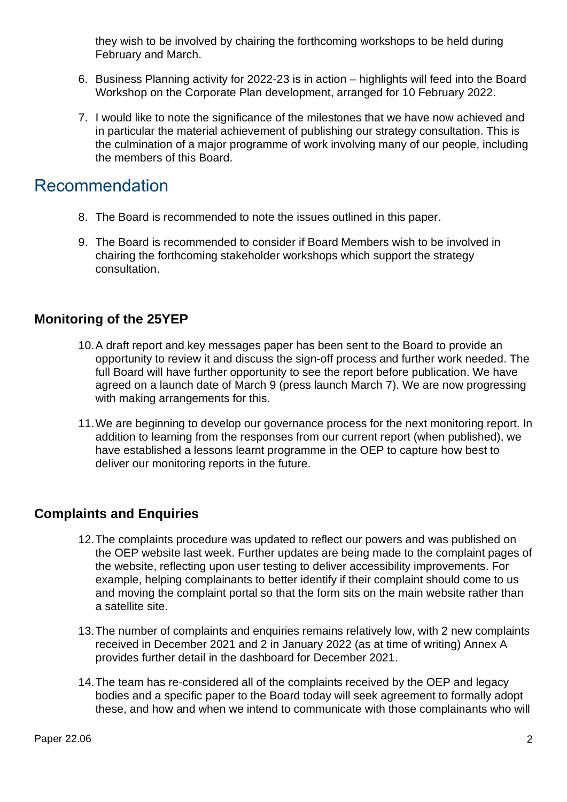they wish to be involved by chairing the forthcoming workshops to be held during February and March.

- 6. Business Planning activity for 2022-23 is in action highlights will feed into the Board Workshop on the Corporate Plan development, arranged for 10 February 2022.
- 7. I would like to note the significance of the milestones that we have now achieved and in particular the material achievement of publishing our strategy consultation. This is the culmination of a major programme of work involving many of our people, including the members of this Board.

## Recommendation

- 8. The Board is recommended to note the issues outlined in this paper.
- 9. The Board is recommended to consider if Board Members wish to be involved in chairing the forthcoming stakeholder workshops which support the strategy consultation.

### **Monitoring of the 25YEP**

- 10.A draft report and key messages paper has been sent to the Board to provide an opportunity to review it and discuss the sign-off process and further work needed. The full Board will have further opportunity to see the report before publication. We have agreed on a launch date of March 9 (press launch March 7). We are now progressing with making arrangements for this.
- 11.We are beginning to develop our governance process for the next monitoring report. In addition to learning from the responses from our current report (when published), we have established a lessons learnt programme in the OEP to capture how best to deliver our monitoring reports in the future.

### **Complaints and Enquiries**

- 12.The complaints procedure was updated to reflect our powers and was published on the OEP website last week. Further updates are being made to the complaint pages of the website, reflecting upon user testing to deliver accessibility improvements. For example, helping complainants to better identify if their complaint should come to us and moving the complaint portal so that the form sits on the main website rather than a satellite site.
- 13.The number of complaints and enquiries remains relatively low, with 2 new complaints received in December 2021 and 2 in January 2022 (as at time of writing) Annex A provides further detail in the dashboard for December 2021.
- 14.The team has re-considered all of the complaints received by the OEP and legacy bodies and a specific paper to the Board today will seek agreement to formally adopt these, and how and when we intend to communicate with those complainants who will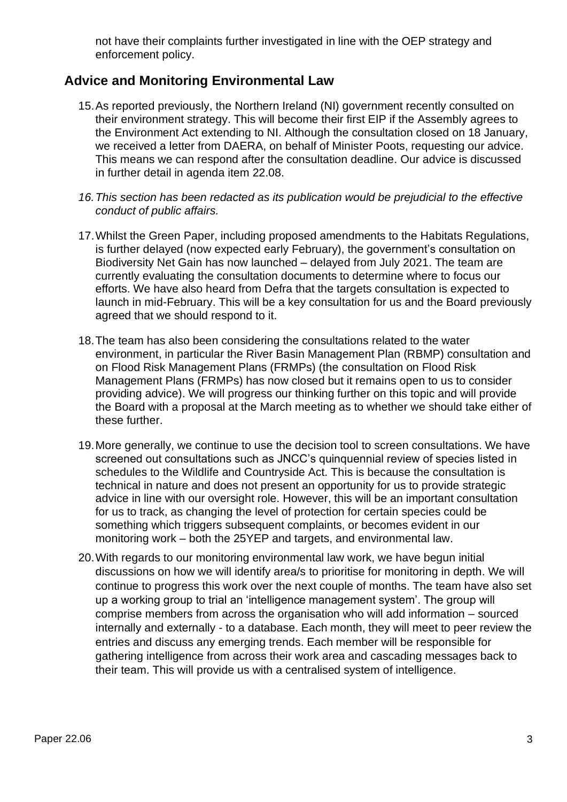not have their complaints further investigated in line with the OEP strategy and enforcement policy.

#### **Advice and Monitoring Environmental Law**

- 15.As reported previously, the Northern Ireland (NI) government recently consulted on their environment strategy. This will become their first EIP if the Assembly agrees to the Environment Act extending to NI. Although the consultation closed on 18 January, we received a letter from DAERA, on behalf of Minister Poots, requesting our advice. This means we can respond after the consultation deadline. Our advice is discussed in further detail in agenda item 22.08.
- *16.This section has been redacted as its publication would be prejudicial to the effective conduct of public affairs.*
- 17.Whilst the Green Paper, including proposed amendments to the Habitats Regulations, is further delayed (now expected early February), the government's consultation on Biodiversity Net Gain has now launched – delayed from July 2021. The team are currently evaluating the consultation documents to determine where to focus our efforts. We have also heard from Defra that the targets consultation is expected to launch in mid-February. This will be a key consultation for us and the Board previously agreed that we should respond to it.
- 18.The team has also been considering the consultations related to the water environment, in particular the River Basin Management Plan (RBMP) consultation and on Flood Risk Management Plans (FRMPs) (the consultation on Flood Risk Management Plans (FRMPs) has now closed but it remains open to us to consider providing advice). We will progress our thinking further on this topic and will provide the Board with a proposal at the March meeting as to whether we should take either of these further.
- 19.More generally, we continue to use the decision tool to screen consultations. We have screened out consultations such as JNCC's quinquennial review of species listed in schedules to the Wildlife and Countryside Act. This is because the consultation is technical in nature and does not present an opportunity for us to provide strategic advice in line with our oversight role. However, this will be an important consultation for us to track, as changing the level of protection for certain species could be something which triggers subsequent complaints, or becomes evident in our monitoring work – both the 25YEP and targets, and environmental law.
- 20.With regards to our monitoring environmental law work, we have begun initial discussions on how we will identify area/s to prioritise for monitoring in depth. We will continue to progress this work over the next couple of months. The team have also set up a working group to trial an 'intelligence management system'. The group will comprise members from across the organisation who will add information – sourced internally and externally - to a database. Each month, they will meet to peer review the entries and discuss any emerging trends. Each member will be responsible for gathering intelligence from across their work area and cascading messages back to their team. This will provide us with a centralised system of intelligence.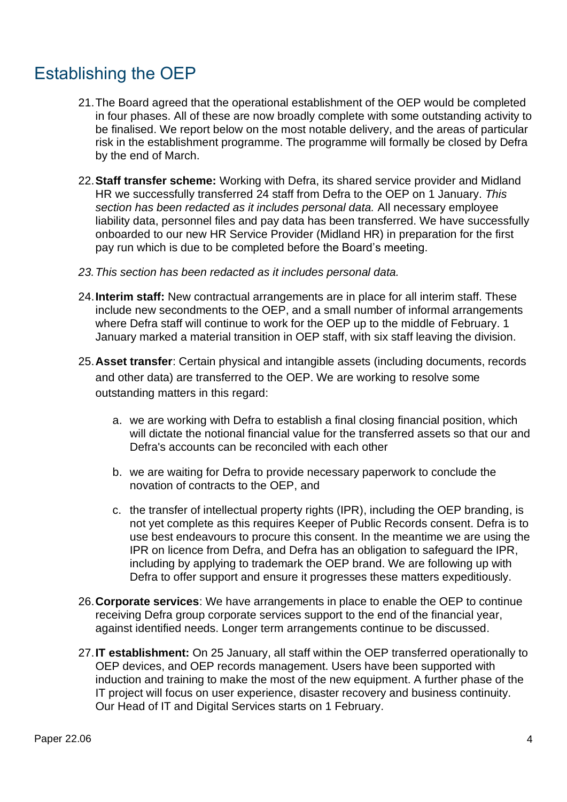# Establishing the OEP

- 21.The Board agreed that the operational establishment of the OEP would be completed in four phases. All of these are now broadly complete with some outstanding activity to be finalised. We report below on the most notable delivery, and the areas of particular risk in the establishment programme. The programme will formally be closed by Defra by the end of March.
- 22.**Staff transfer scheme:** Working with Defra, its shared service provider and Midland HR we successfully transferred 24 staff from Defra to the OEP on 1 January. *This section has been redacted as it includes personal data.* All necessary employee liability data, personnel files and pay data has been transferred. We have successfully onboarded to our new HR Service Provider (Midland HR) in preparation for the first pay run which is due to be completed before the Board's meeting.
- *23.This section has been redacted as it includes personal data.*
- 24.**Interim staff:** New contractual arrangements are in place for all interim staff. These include new secondments to the OEP, and a small number of informal arrangements where Defra staff will continue to work for the OEP up to the middle of February. 1 January marked a material transition in OEP staff, with six staff leaving the division.
- 25.**Asset transfer**: Certain physical and intangible assets (including documents, records and other data) are transferred to the OEP. We are working to resolve some outstanding matters in this regard:
	- a. we are working with Defra to establish a final closing financial position, which will dictate the notional financial value for the transferred assets so that our and Defra's accounts can be reconciled with each other
	- b. we are waiting for Defra to provide necessary paperwork to conclude the novation of contracts to the OEP, and
	- c. the transfer of intellectual property rights (IPR), including the OEP branding, is not yet complete as this requires Keeper of Public Records consent. Defra is to use best endeavours to procure this consent. In the meantime we are using the IPR on licence from Defra, and Defra has an obligation to safeguard the IPR, including by applying to trademark the OEP brand. We are following up with Defra to offer support and ensure it progresses these matters expeditiously.
- 26.**Corporate services**: We have arrangements in place to enable the OEP to continue receiving Defra group corporate services support to the end of the financial year, against identified needs. Longer term arrangements continue to be discussed.
- 27.**IT establishment:** On 25 January, all staff within the OEP transferred operationally to OEP devices, and OEP records management. Users have been supported with induction and training to make the most of the new equipment. A further phase of the IT project will focus on user experience, disaster recovery and business continuity. Our Head of IT and Digital Services starts on 1 February.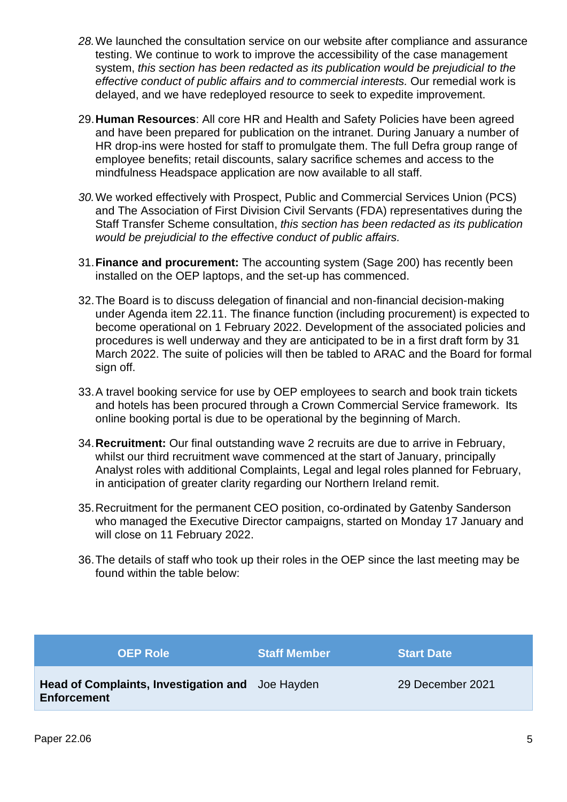- *28.*We launched the consultation service on our website after compliance and assurance testing. We continue to work to improve the accessibility of the case management system, *this section has been redacted as its publication would be prejudicial to the effective conduct of public affairs and to commercial interests.* Our remedial work is delayed, and we have redeployed resource to seek to expedite improvement.
- 29.**Human Resources**: All core HR and Health and Safety Policies have been agreed and have been prepared for publication on the intranet. During January a number of HR drop-ins were hosted for staff to promulgate them. The full Defra group range of employee benefits; retail discounts, salary sacrifice schemes and access to the mindfulness Headspace application are now available to all staff.
- *30.*We worked effectively with Prospect, Public and Commercial Services Union (PCS) and The Association of First Division Civil Servants (FDA) representatives during the Staff Transfer Scheme consultation, *this section has been redacted as its publication would be prejudicial to the effective conduct of public affairs.*
- 31.**Finance and procurement:** The accounting system (Sage 200) has recently been installed on the OEP laptops, and the set-up has commenced.
- 32.The Board is to discuss delegation of financial and non-financial decision-making under Agenda item 22.11. The finance function (including procurement) is expected to become operational on 1 February 2022. Development of the associated policies and procedures is well underway and they are anticipated to be in a first draft form by 31 March 2022. The suite of policies will then be tabled to ARAC and the Board for formal sign off.
- 33.A travel booking service for use by OEP employees to search and book train tickets and hotels has been procured through a Crown Commercial Service framework. Its online booking portal is due to be operational by the beginning of March.
- 34.**Recruitment:** Our final outstanding wave 2 recruits are due to arrive in February, whilst our third recruitment wave commenced at the start of January, principally Analyst roles with additional Complaints, Legal and legal roles planned for February, in anticipation of greater clarity regarding our Northern Ireland remit.
- 35.Recruitment for the permanent CEO position, co-ordinated by Gatenby Sanderson who managed the Executive Director campaigns, started on Monday 17 January and will close on 11 February 2022.
- 36.The details of staff who took up their roles in the OEP since the last meeting may be found within the table below:

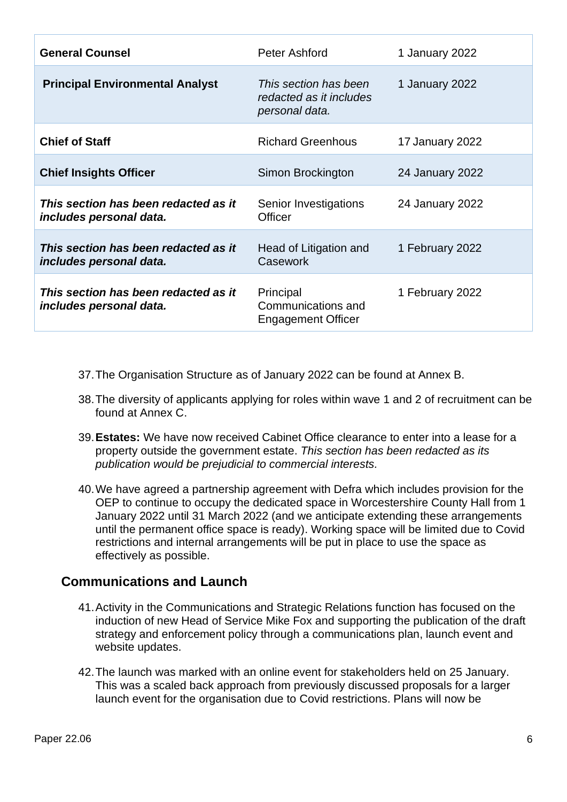| <b>General Counsel</b>                                          | Peter Ashford                                                      | 1 January 2022  |
|-----------------------------------------------------------------|--------------------------------------------------------------------|-----------------|
| <b>Principal Environmental Analyst</b>                          | This section has been<br>redacted as it includes<br>personal data. | 1 January 2022  |
| <b>Chief of Staff</b>                                           | <b>Richard Greenhous</b>                                           | 17 January 2022 |
| <b>Chief Insights Officer</b>                                   | Simon Brockington                                                  | 24 January 2022 |
| This section has been redacted as it<br>includes personal data. | Senior Investigations<br><b>Officer</b>                            | 24 January 2022 |
| This section has been redacted as it<br>includes personal data. | Head of Litigation and<br>Casework                                 | 1 February 2022 |
| This section has been redacted as it<br>includes personal data. | Principal<br>Communications and<br><b>Engagement Officer</b>       | 1 February 2022 |

- 37.The Organisation Structure as of January 2022 can be found at Annex B.
- 38.The diversity of applicants applying for roles within wave 1 and 2 of recruitment can be found at Annex C.
- 39.**Estates:** We have now received Cabinet Office clearance to enter into a lease for a property outside the government estate. *This section has been redacted as its publication would be prejudicial to commercial interests.*
- 40.We have agreed a partnership agreement with Defra which includes provision for the OEP to continue to occupy the dedicated space in Worcestershire County Hall from 1 January 2022 until 31 March 2022 (and we anticipate extending these arrangements until the permanent office space is ready). Working space will be limited due to Covid restrictions and internal arrangements will be put in place to use the space as effectively as possible.

#### **Communications and Launch**

- 41.Activity in the Communications and Strategic Relations function has focused on the induction of new Head of Service Mike Fox and supporting the publication of the draft strategy and enforcement policy through a communications plan, launch event and website updates.
- 42.The launch was marked with an online event for stakeholders held on 25 January. This was a scaled back approach from previously discussed proposals for a larger launch event for the organisation due to Covid restrictions. Plans will now be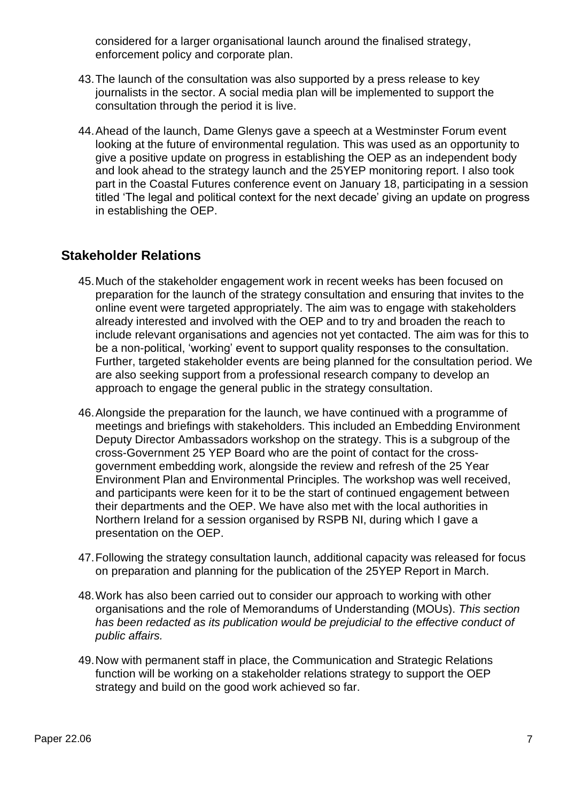considered for a larger organisational launch around the finalised strategy, enforcement policy and corporate plan.

- 43.The launch of the consultation was also supported by a press release to key journalists in the sector. A social media plan will be implemented to support the consultation through the period it is live.
- 44.Ahead of the launch, Dame Glenys gave a speech at a Westminster Forum event looking at the future of environmental regulation. This was used as an opportunity to give a positive update on progress in establishing the OEP as an independent body and look ahead to the strategy launch and the 25YEP monitoring report. I also took part in the Coastal Futures conference event on January 18, participating in a session titled 'The legal and political context for the next decade' giving an update on progress in establishing the OEP.

#### **Stakeholder Relations**

- 45.Much of the stakeholder engagement work in recent weeks has been focused on preparation for the launch of the strategy consultation and ensuring that invites to the online event were targeted appropriately. The aim was to engage with stakeholders already interested and involved with the OEP and to try and broaden the reach to include relevant organisations and agencies not yet contacted. The aim was for this to be a non-political, 'working' event to support quality responses to the consultation. Further, targeted stakeholder events are being planned for the consultation period. We are also seeking support from a professional research company to develop an approach to engage the general public in the strategy consultation.
- 46.Alongside the preparation for the launch, we have continued with a programme of meetings and briefings with stakeholders. This included an Embedding Environment Deputy Director Ambassadors workshop on the strategy. This is a subgroup of the cross-Government 25 YEP Board who are the point of contact for the crossgovernment embedding work, alongside the review and refresh of the 25 Year Environment Plan and Environmental Principles. The workshop was well received, and participants were keen for it to be the start of continued engagement between their departments and the OEP. We have also met with the local authorities in Northern Ireland for a session organised by RSPB NI, during which I gave a presentation on the OEP.
- 47.Following the strategy consultation launch, additional capacity was released for focus on preparation and planning for the publication of the 25YEP Report in March.
- 48.Work has also been carried out to consider our approach to working with other organisations and the role of Memorandums of Understanding (MOUs). *This section has been redacted as its publication would be prejudicial to the effective conduct of public affairs.*
- 49.Now with permanent staff in place, the Communication and Strategic Relations function will be working on a stakeholder relations strategy to support the OEP strategy and build on the good work achieved so far.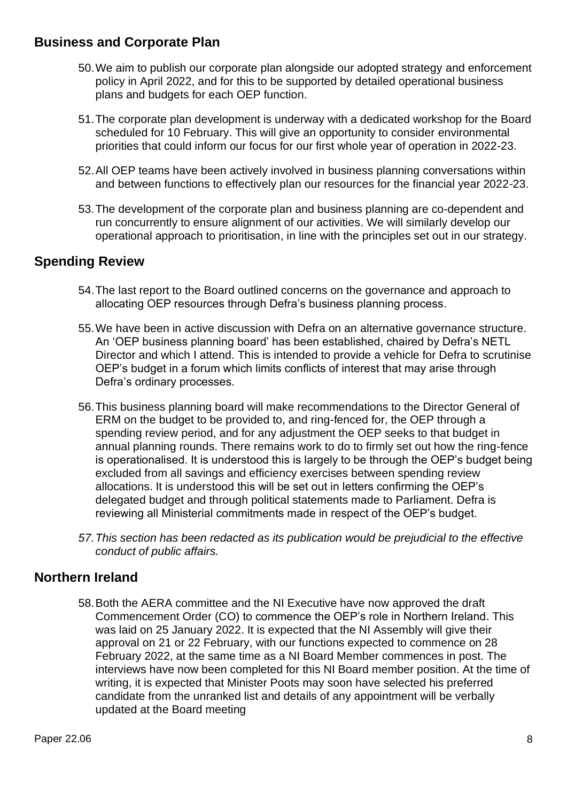#### **Business and Corporate Plan**

- 50.We aim to publish our corporate plan alongside our adopted strategy and enforcement policy in April 2022, and for this to be supported by detailed operational business plans and budgets for each OEP function.
- 51.The corporate plan development is underway with a dedicated workshop for the Board scheduled for 10 February. This will give an opportunity to consider environmental priorities that could inform our focus for our first whole year of operation in 2022-23.
- 52.All OEP teams have been actively involved in business planning conversations within and between functions to effectively plan our resources for the financial year 2022-23.
- 53.The development of the corporate plan and business planning are co-dependent and run concurrently to ensure alignment of our activities. We will similarly develop our operational approach to prioritisation, in line with the principles set out in our strategy.

#### **Spending Review**

- 54.The last report to the Board outlined concerns on the governance and approach to allocating OEP resources through Defra's business planning process.
- 55.We have been in active discussion with Defra on an alternative governance structure. An 'OEP business planning board' has been established, chaired by Defra's NETL Director and which I attend. This is intended to provide a vehicle for Defra to scrutinise OEP's budget in a forum which limits conflicts of interest that may arise through Defra's ordinary processes.
- 56.This business planning board will make recommendations to the Director General of ERM on the budget to be provided to, and ring-fenced for, the OEP through a spending review period, and for any adjustment the OEP seeks to that budget in annual planning rounds. There remains work to do to firmly set out how the ring-fence is operationalised. It is understood this is largely to be through the OEP's budget being excluded from all savings and efficiency exercises between spending review allocations. It is understood this will be set out in letters confirming the OEP's delegated budget and through political statements made to Parliament. Defra is reviewing all Ministerial commitments made in respect of the OEP's budget.
- *57.This section has been redacted as its publication would be prejudicial to the effective conduct of public affairs.*

#### **Northern Ireland**

58.Both the AERA committee and the NI Executive have now approved the draft Commencement Order (CO) to commence the OEP's role in Northern Ireland. This was laid on 25 January 2022. It is expected that the NI Assembly will give their approval on 21 or 22 February, with our functions expected to commence on 28 February 2022, at the same time as a NI Board Member commences in post. The interviews have now been completed for this NI Board member position. At the time of writing, it is expected that Minister Poots may soon have selected his preferred candidate from the unranked list and details of any appointment will be verbally updated at the Board meeting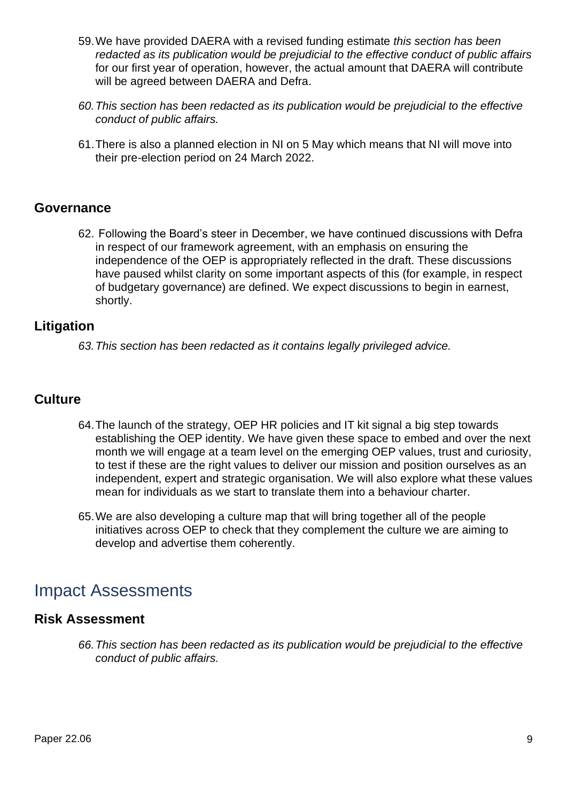- 59.We have provided DAERA with a revised funding estimate *this section has been redacted as its publication would be prejudicial to the effective conduct of public affairs* for our first year of operation, however, the actual amount that DAERA will contribute will be agreed between DAERA and Defra.
- *60.This section has been redacted as its publication would be prejudicial to the effective conduct of public affairs.*
- 61.There is also a planned election in NI on 5 May which means that NI will move into their pre-election period on 24 March 2022.

#### **Governance**

62. Following the Board's steer in December, we have continued discussions with Defra in respect of our framework agreement, with an emphasis on ensuring the independence of the OEP is appropriately reflected in the draft. These discussions have paused whilst clarity on some important aspects of this (for example, in respect of budgetary governance) are defined. We expect discussions to begin in earnest, shortly.

#### **Litigation**

*63.This section has been redacted as it contains legally privileged advice.*

#### **Culture**

- 64.The launch of the strategy, OEP HR policies and IT kit signal a big step towards establishing the OEP identity. We have given these space to embed and over the next month we will engage at a team level on the emerging OEP values, trust and curiosity, to test if these are the right values to deliver our mission and position ourselves as an independent, expert and strategic organisation. We will also explore what these values mean for individuals as we start to translate them into a behaviour charter.
- 65.We are also developing a culture map that will bring together all of the people initiatives across OEP to check that they complement the culture we are aiming to develop and advertise them coherently.

## Impact Assessments

#### **Risk Assessment**

*66.This section has been redacted as its publication would be prejudicial to the effective conduct of public affairs.*